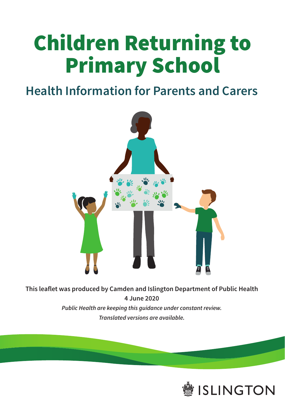# Children Returning to Primary School

### **Health Information for Parents and Carers**



**This leaflet was produced by Camden and Islington Department of Public Health 4 June 2020** *Public Health are keeping this guidance under constant review. Translated versions are available.*

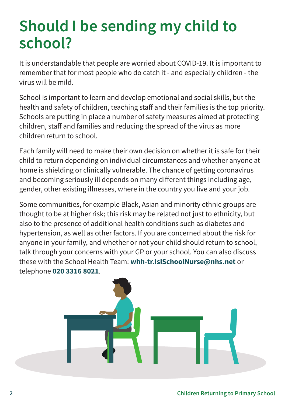### **Should I be sending my child to school?**

It is understandable that people are worried about COVID-19. It is important to remember that for most people who do catch it - and especially children - the virus will be mild.

School is important to learn and develop emotional and social skills, but the health and safety of children, teaching staff and their families is the top priority. Schools are putting in place a number of safety measures aimed at protecting children, staff and families and reducing the spread of the virus as more children return to school.

Each family will need to make their own decision on whether it is safe for their child to return depending on individual circumstances and whether anyone at home is shielding or clinically vulnerable. The chance of getting coronavirus and becoming seriously ill depends on many different things including age, gender, other existing illnesses, where in the country you live and your job.

Some communities, for example Black, Asian and minority ethnic groups are thought to be at higher risk; this risk may be related not just to ethnicity, but also to the presence of additional health conditions such as diabetes and hypertension, as well as other factors. If you are concerned about the risk for anyone in your family, and whether or not your child should return to school, talk through your concerns with your GP or your school. You can also discuss these with the School Health Team: **[whh-tr.IslSchoolNurse@nhs.net](mailto:whh-tr.IslSchoolNurse@nhs.net)** or telephone **020 3316 8021**.

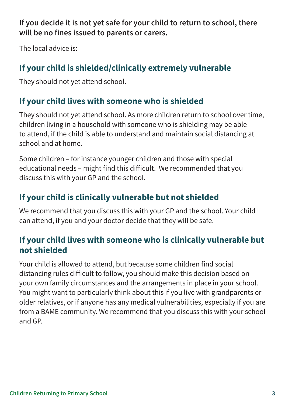**If you decide it is not yet safe for your child to return to school, there will be no fines issued to parents or carers.** 

The local advice is:

### **If your child is shielded/clinically extremely vulnerable**

They should not yet attend school.

#### **If your child lives with someone who is shielded**

They should not yet attend school. As more children return to school over time, children living in a household with someone who is shielding may be able to attend, if the child is able to understand and maintain social distancing at school and at home.

Some children – for instance younger children and those with special educational needs – might find this difficult. We recommended that you discuss this with your GP and the school.

#### **If your child is clinically vulnerable but not shielded**

We recommend that you discuss this with your GP and the school. Your child can attend, if you and your doctor decide that they will be safe.

#### **If your child lives with someone who is clinically vulnerable but not shielded**

Your child is allowed to attend, but because some children find social distancing rules difficult to follow, you should make this decision based on your own family circumstances and the arrangements in place in your school. You might want to particularly think about this if you live with grandparents or older relatives, or if anyone has any medical vulnerabilities, especially if you are from a BAME community. We recommend that you discuss this with your school and GP.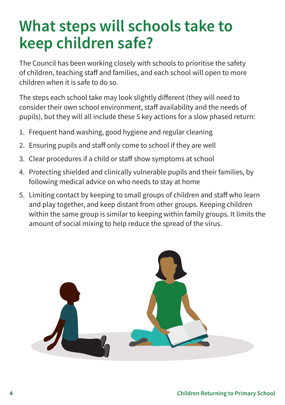### **What steps will schools take to keep children safe?**

The Council has been working closely with schools to prioritise the safety of children, teaching staff and families, and each school will open to more children when it is safe to do so.

The steps each school take may look slightly different (they will need to consider their own school environment, staff availability and the needs of pupils), but they will all include these 5 key actions for a slow phased return:

- 1. Frequent hand washing, good hygiene and regular cleaning
- 2. Ensuring pupils and staff only come to school if they are well
- 3. Clear procedures if a child or staff show symptoms at school
- 4. Protecting shielded and clinically vulnerable pupils and their families, by following medical advice on who needs to stay at home
- 5. Limiting contact by keeping to small groups of children and staff who learn and play together, and keep distant from other groups. Keeping children within the same group is similar to keeping within family groups. It limits the amount of social mixing to help reduce the spread of the virus.

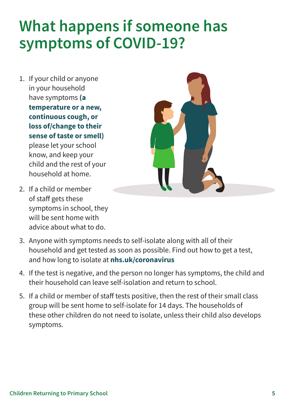### **What happens if someone has symptoms of COVID-19?**

1. If your child or anyone in your household have symptoms **(a temperature or a new, continuous cough, or loss of/change to their sense of taste or smell)** please let your school know, and keep your child and the rest of your household at home.



- 2. If a child or member of staff gets these symptoms in school, they will be sent home with advice about what to do.
- 3. Anyone with symptoms needs to self-isolate along with all of their household and get tested as soon as possible. Find out how to get a test, and how long to isolate at **[nhs.uk/coronavirus](http://nhs.uk/coronavirus)**
- 4. If the test is negative, and the person no longer has symptoms, the child and their household can leave self-isolation and return to school.
- 5. If a child or member of staff tests positive, then the rest of their small class group will be sent home to self-isolate for 14 days. The households of these other children do not need to isolate, unless their child also develops symptoms.